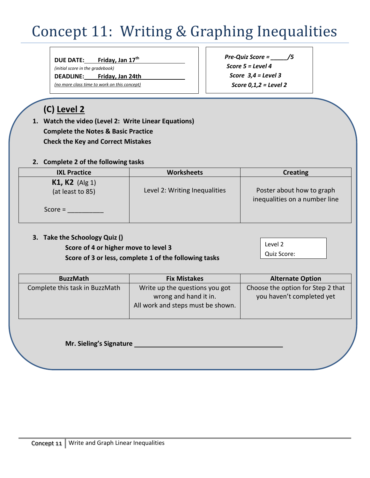# Concept 11: Writing & Graphing Inequalities

**DUE DATE: Friday, Jan 17th**

*(initial score in the gradebook)*

**DEADLINE: Friday, Jan 24th**

*(no more class time to work on this concept)*

## **(C) Level 2**

**1. Watch the video (Level 2: Write Linear Equations) Complete the Notes & Basic Practice Check the Key and Correct Mistakes**

## **2. Complete 2 of the following tasks**

| <b>IXL Practice</b>                                    | <b>Worksheets</b>             | <b>Creating</b>                                            |
|--------------------------------------------------------|-------------------------------|------------------------------------------------------------|
| <b>K1, K2</b> (Alg 1)<br>(at least to 85)<br>$Score =$ | Level 2: Writing Inequalities | Poster about how to graph<br>inequalities on a number line |

### **3. Take the Schoology Quiz ()**

**Score of 4 or higher move to level 3 Score of 3 or less, complete 1 of the following tasks** Level 2 Quiz Score:

*Pre-Quiz Score = \_\_\_\_\_/5*

*Score 5 = Level 4 Score 3,4 = Level 3 Score 0,1,2 = Level 2*

| <b>BuzzMath</b>                | <b>Fix Mistakes</b>               | <b>Alternate Option</b>           |
|--------------------------------|-----------------------------------|-----------------------------------|
| Complete this task in BuzzMath | Write up the questions you got    | Choose the option for Step 2 that |
|                                | wrong and hand it in.             | you haven't completed yet         |
|                                | All work and steps must be shown. |                                   |
|                                |                                   |                                   |

**Mr. Sieling's Signature**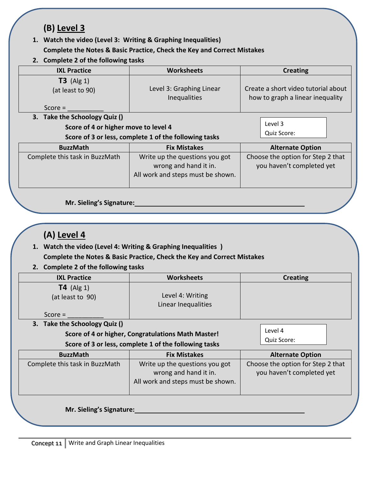## **(B) Level 3**

- **1. Watch the video (Level 3: Writing & Graphing Inequalities) Complete the Notes & Basic Practice, Check the Key and Correct Mistakes**
- **2. Complete 2 of the following tasks**

| <b>IXL Practice</b>                           | <b>Worksheets</b>                                                                            | <b>Creating</b>                                                         |  |
|-----------------------------------------------|----------------------------------------------------------------------------------------------|-------------------------------------------------------------------------|--|
| $T3$ (Alg 1)<br>(at least to 90)<br>$Score =$ | Level 3: Graphing Linear<br><b>Inequalities</b>                                              | Create a short video tutorial about<br>how to graph a linear inequality |  |
| 3. Take the Schoology Quiz ()                 |                                                                                              |                                                                         |  |
| Score of 4 or higher move to level 4          |                                                                                              | Level 3                                                                 |  |
|                                               | Score of 3 or less, complete 1 of the following tasks                                        | Quiz Score:                                                             |  |
| <b>BuzzMath</b>                               | <b>Fix Mistakes</b>                                                                          | <b>Alternate Option</b>                                                 |  |
| Complete this task in BuzzMath                | Write up the questions you got<br>wrong and hand it in.<br>All work and steps must be shown. | Choose the option for Step 2 that<br>you haven't completed yet          |  |

## **(A) Level 4**

**1. Watch the video (Level 4: Writing & Graphing Inequalities )**

**Complete the Notes & Basic Practice, Check the Key and Correct Mistakes**

**2. Complete 2 of the following tasks**

| <b>IXL Practice</b>                                | <b>Worksheets</b>                       | <b>Creating</b> |
|----------------------------------------------------|-----------------------------------------|-----------------|
| $T4$ (Alg 1)<br>(at least to 90)                   | Level 4: Writing<br>Linear Inequalities |                 |
| $Score =$                                          |                                         |                 |
| 3. Take the Schoology Quiz ()                      |                                         |                 |
| Score of 4 or higher, Congratulations Math Master! |                                         | Level 4         |

**Score of 3 or less, complete 1 of the following tasks**

| <b>BuzzMath</b>                | <b>Fix Mistakes</b>               | <b>Alternate Option</b>           |  |
|--------------------------------|-----------------------------------|-----------------------------------|--|
| Complete this task in BuzzMath | Write up the questions you got    | Choose the option for Step 2 that |  |
|                                | wrong and hand it in.             | you haven't completed yet         |  |
|                                | All work and steps must be shown. |                                   |  |
|                                |                                   |                                   |  |

Quiz Score:

## **Mr. Sieling's Signature:**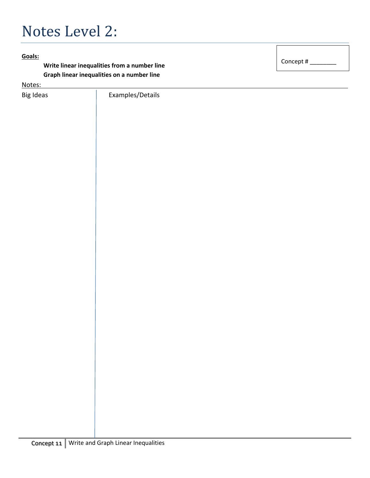# Notes Level 2:

### **Goals:**

**Write linear inequalities from a number line Graph linear inequalities on a number line**

Notes:

Big Ideas **Examples/Details** 

Concept # \_\_\_\_\_\_\_\_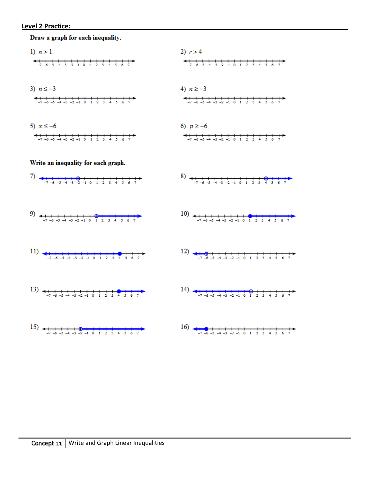

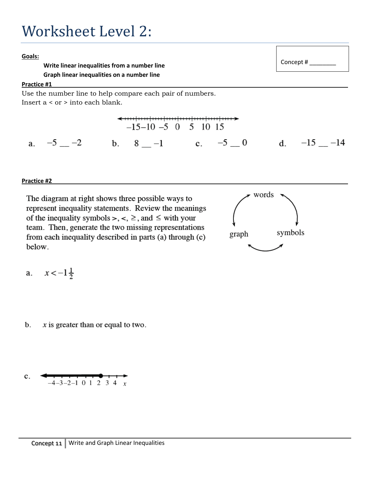## Worksheet Level 2:

**Goals:**

**Write linear inequalities from a number line Graph linear inequalities on a number line**

#### **Practice #1**

### Use the number line to help compare each pair of numbers. Insert a < or > into each blank.



**Practice #2**

The diagram at right shows three possible ways to represent inequality statements. Review the meanings of the inequality symbols >, <,  $\ge$ , and  $\le$  with your team. Then, generate the two missing representations from each inequality described in parts (a) through (c) below.



Concept #

$$
a. \quad x < -1\frac{1}{2}
$$

 $\mathbf b$ .  $x$  is greater than or equal to two.

c. 
$$
-4-3-2-1 \t0 \t1 \t2 \t3 \t4 \t x
$$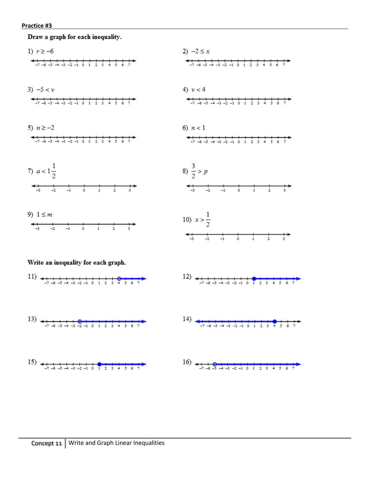Draw a graph for each inequality.

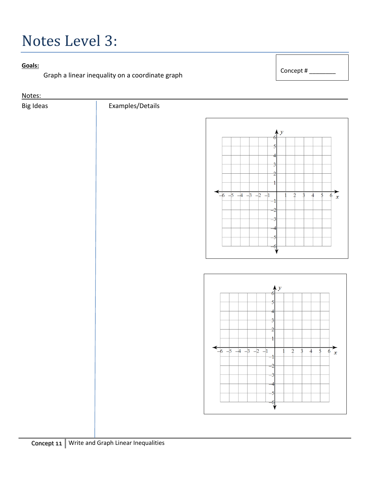# Notes Level 3:

### **Goals:**

Graph a linear inequality on a coordinate graph

Concept # \_\_\_\_\_\_\_\_

Notes:

Big Ideas **Examples/Details** 

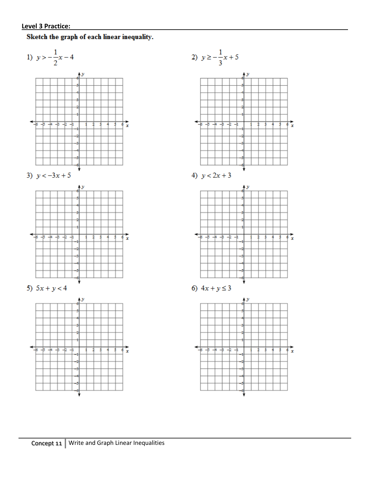## Sketch the graph of each linear inequality.

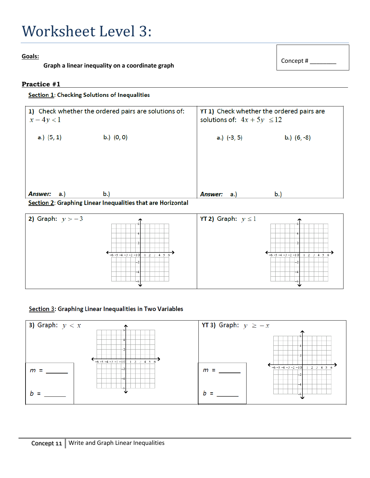## Worksheet Level 3:

### **Goals:**

**Graph a linear inequality on a coordinate graph**

#### **Practice #1**

Section 1: Checking Solutions of Inequalities

| $x - 4y < 1$   | 1) Check whether the ordered pairs are solutions of: | YT 1) Check whether the ordered pairs are<br>solutions of: $4x + 5y \le 12$ |               |
|----------------|------------------------------------------------------|-----------------------------------------------------------------------------|---------------|
| a.) $(5, 1)$   | b.) $(0, 0)$                                         | a.) $(-3, 5)$                                                               | b.) $(6, -8)$ |
| Answer:<br>a.) | b.                                                   | <b>Answer:</b><br>a.)                                                       | b.)           |





### Section 3: Graphing Linear Inequalities in Two Variables

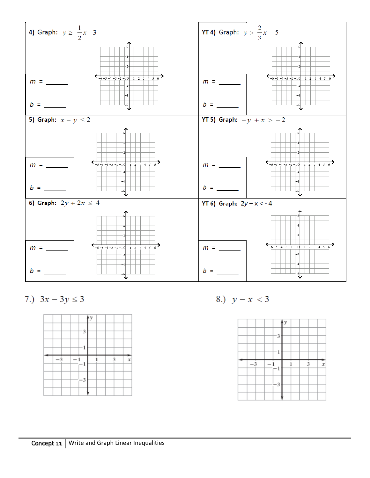

7.)  $3x - 3y \le 3$ 



8.)  $y - x < 3$ 

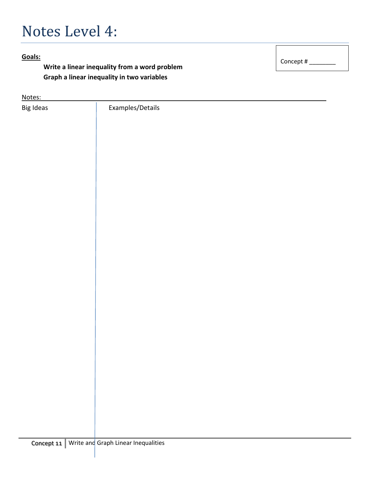# Notes Level 4:

## **Goals:**

**Write a linear inequality from a word problem Graph a linear inequality in two variables**

Notes:

Big Ideas **Examples/Details** 

Concept # \_\_\_\_\_\_\_\_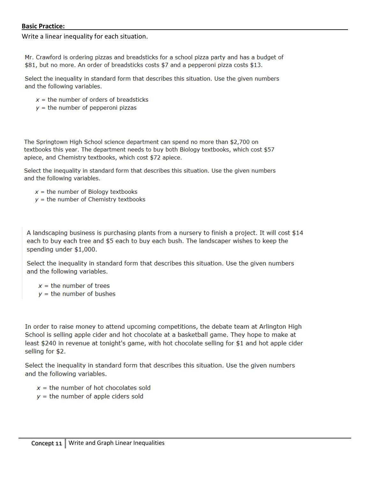#### **Basic Practice:**

Write a linear inequality for each situation.

Mr. Crawford is ordering pizzas and breadsticks for a school pizza party and has a budget of \$81, but no more. An order of breadsticks costs \$7 and a pepperoni pizza costs \$13.

Select the inequality in standard form that describes this situation. Use the given numbers and the following variables.

- $x =$  the number of orders of breadsticks
- $y =$  the number of pepperoni pizzas

The Springtown High School science department can spend no more than \$2,700 on textbooks this year. The department needs to buy both Biology textbooks, which cost \$57 apiece, and Chemistry textbooks, which cost \$72 apiece.

Select the inequality in standard form that describes this situation. Use the given numbers and the following variables.

- $x =$  the number of Biology textbooks
- $y =$  the number of Chemistry textbooks

A landscaping business is purchasing plants from a nursery to finish a project. It will cost \$14 each to buy each tree and \$5 each to buy each bush. The landscaper wishes to keep the spending under \$1,000.

Select the inequality in standard form that describes this situation. Use the given numbers and the following variables.

 $x =$  the number of trees

 $y =$  the number of bushes

In order to raise money to attend upcoming competitions, the debate team at Arlington High School is selling apple cider and hot chocolate at a basketball game. They hope to make at least \$240 in revenue at tonight's game, with hot chocolate selling for \$1 and hot apple cider selling for \$2.

Select the inequality in standard form that describes this situation. Use the given numbers and the following variables.

- $x =$  the number of hot chocolates sold
- $y =$  the number of apple ciders sold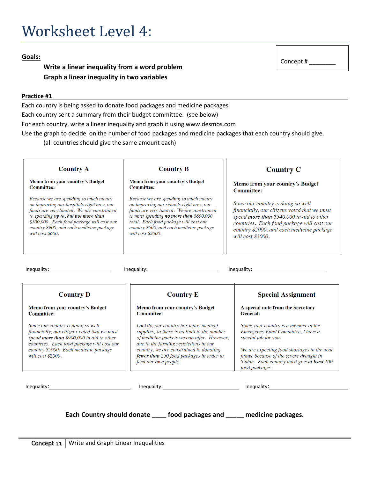# Worksheet Level 4:

#### **Goals:**

**Write a linear inequality from a word problem Graph a linear inequality in two variables**

#### **Practice #1**

Each country is being asked to donate food packages and medicine packages. Each country sent a summary from their budget committee. (see below) For each country, write a linear inequality and graph it using www.desmos.com

Use the graph to decide on the number of food packages and medicine packages that each country should give.

(all countries should give the same amount each)

| <b>Country A</b>                                                                                                                                                                                                                                                                                                                               | <b>Country B</b>                                                                                                                                                                                                                                                                                                                             | <b>Country C</b>                                                                                                                                                                                                                                                                                        |  |
|------------------------------------------------------------------------------------------------------------------------------------------------------------------------------------------------------------------------------------------------------------------------------------------------------------------------------------------------|----------------------------------------------------------------------------------------------------------------------------------------------------------------------------------------------------------------------------------------------------------------------------------------------------------------------------------------------|---------------------------------------------------------------------------------------------------------------------------------------------------------------------------------------------------------------------------------------------------------------------------------------------------------|--|
| Memo from your country's Budget<br><b>Committee:</b><br>Because we are spending so much money<br>on improving our hospitals right now, our<br>funds are very limited. We are constrained<br>to spending up to, but not more than<br>\$300,000. Each food package will cost our<br>country \$900, and each medicine package<br>will cost \$600. | Memo from your country's Budget<br><b>Committee:</b><br>Because we are spending so much money<br>on improving our schools right now, our<br>funds are very limited. We are constrained<br>to must spending no more than \$600,000<br>total. Each food package will cost our<br>country \$500, and each medicine package<br>will cost \$2000. | Memo from your country's Budget<br><b>Committee:</b><br>Since our country is doing so well<br>financially, our citizens voted that we must<br>spend more than \$540,000 in aid to other<br>countries. Each food package will cost our<br>country \$2000, and each medicine package<br>will cost \$3000. |  |
|                                                                                                                                                                                                                                                                                                                                                |                                                                                                                                                                                                                                                                                                                                              |                                                                                                                                                                                                                                                                                                         |  |
| <b>Country D</b>                                                                                                                                                                                                                                                                                                                               | <b>Country E</b>                                                                                                                                                                                                                                                                                                                             | <b>Special Assignment</b>                                                                                                                                                                                                                                                                               |  |
| Memo from your country's Budget<br><b>Committee:</b>                                                                                                                                                                                                                                                                                           | Memo from your country's Budget<br><b>Committee:</b>                                                                                                                                                                                                                                                                                         | A special note from the Secretary<br>General:                                                                                                                                                                                                                                                           |  |
| Since our country is doing so well<br>financially, our citizens voted that we must<br>spend more than \$900,000 in aid to other<br>countries. Each food package will cost our<br>country \$5000. Each medicine package<br>will cost \$2000.                                                                                                    | Luckily, our country has many medical<br>supplies, so there is no limit to the number<br>of medicine packets we can offer. However,<br>due to the farming restrictions in our<br>country, we are constrained to donating<br>fewer than 250 food packages in order to<br>feed our own people.                                                 | Since your country is a member of the<br>Emergency Fund Committee, I have a<br>special job for you.<br>We are expecting food shortages in the near<br>future because of the severe drought in<br>Sudan. Each country must give at least 100<br>food packages.                                           |  |
|                                                                                                                                                                                                                                                                                                                                                | Inequality: Inequality: Inequality: Inequality: Inequality: Inequality:                                                                                                                                                                                                                                                                      |                                                                                                                                                                                                                                                                                                         |  |
| Each Country should donate _____ food packages and _____ medicine packages.                                                                                                                                                                                                                                                                    |                                                                                                                                                                                                                                                                                                                                              |                                                                                                                                                                                                                                                                                                         |  |

Concept #